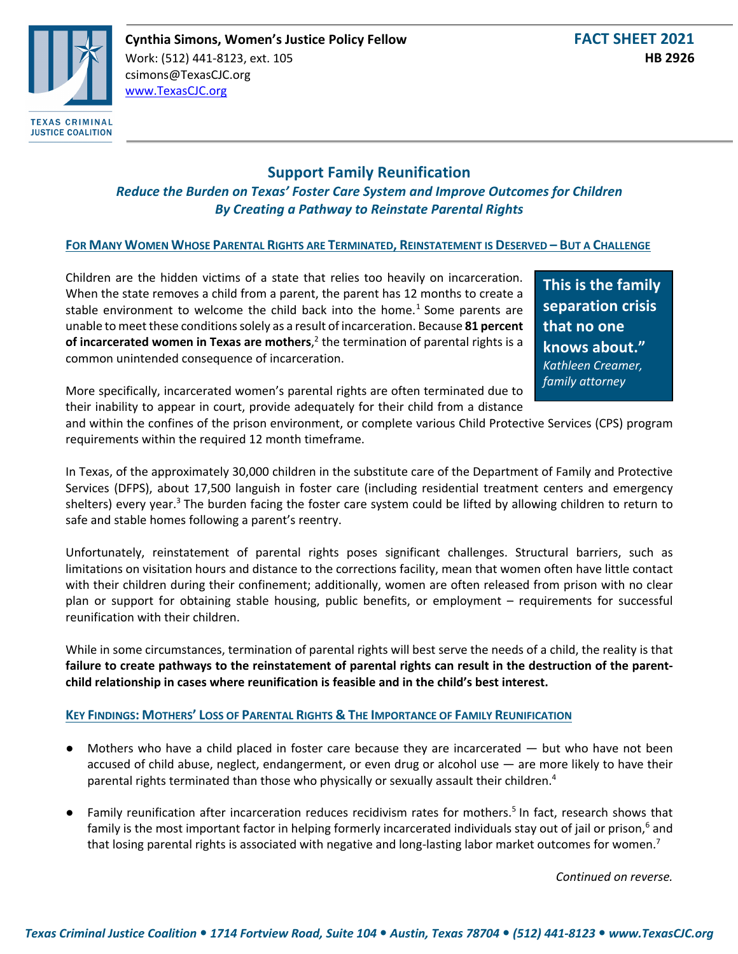

# **Support Family Reunification**

*Reduce the Burden on Texas' Foster Care System and Improve Outcomes for Children By Creating a Pathway to Reinstate Parental Rights*

## **FOR MANY WOMEN WHOSE PARENTAL RIGHTS ARE TERMINATED, REINSTATEMENT IS DESERVED – BUT A CHALLENGE**

Children are the hidden victims of a state that relies too heavily on incarceration. When the state removes a child from a parent, the parent has 12 months to create a stable environment to welcome the child back into the home.<sup>1</sup> Some parents are unable to meet these conditions solely as a result of incarceration. Because **81 percent of incarcerated women in Texas are mothers**, <sup>2</sup> the termination of parental rights is a common unintended consequence of incarceration.

**This is the family separation crisis that no one knows about."**  *Kathleen Creamer, family attorney*

More specifically, incarcerated women's parental rights are often terminated due to their inability to appear in court, provide adequately for their child from a distance

and within the confines of the prison environment, or complete various Child Protective Services (CPS) program requirements within the required 12 month timeframe.

In Texas, of the approximately 30,000 children in the substitute care of the Department of Family and Protective Services (DFPS), about 17,500 languish in foster care (including residential treatment centers and emergency shelters) every year.<sup>3</sup> The burden facing the foster care system could be lifted by allowing children to return to safe and stable homes following a parent's reentry.

Unfortunately, reinstatement of parental rights poses significant challenges. Structural barriers, such as limitations on visitation hours and distance to the corrections facility, mean that women often have little contact with their children during their confinement; additionally, women are often released from prison with no clear plan or support for obtaining stable housing, public benefits, or employment – requirements for successful reunification with their children.

While in some circumstances, termination of parental rights will best serve the needs of a child, the reality is that **failure to create pathways to the reinstatement of parental rights can result in the destruction of the parentchild relationship in cases where reunification is feasible and in the child's best interest.**

### **KEY FINDINGS: MOTHERS' LOSS OF PARENTAL RIGHTS & THE IMPORTANCE OF FAMILY REUNIFICATION**

- Mothers who have a child placed in foster care because they are incarcerated  $-$  but who have not been accused of child abuse, neglect, endangerment, or even drug or alcohol use — are more likely to have their parental rights terminated than those who physically or sexually assault their children.<sup>4</sup>
- Family reunification after incarceration reduces recidivism rates for mothers.<sup>5</sup> In fact, research shows that family is the most important factor in helping formerly incarcerated individuals stay out of jail or prison,<sup>6</sup> and that losing parental rights is associated with negative and long-lasting labor market outcomes for women.<sup>7</sup>

*Continued on reverse.*